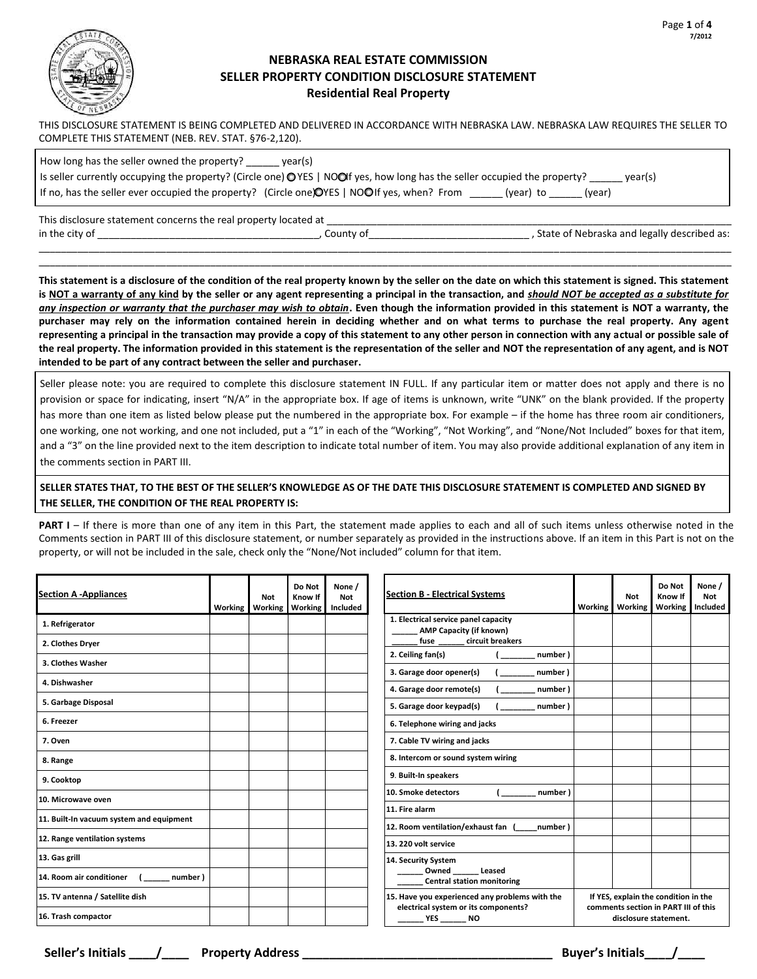

## **NEBRASKA REAL ESTATE COMMISSION SELLER PROPERTY CONDITION DISCLOSURE STATEMENT Residential Real Property**

THIS DISCLOSURE STATEMENT IS BEING COMPLETED AND DELIVERED IN ACCORDANCE WITH NEBRASKA LAW. NEBRASKA LAW REQUIRES THE SELLER TO COMPLETE THIS STATEMENT (NEB. REV. STAT. §76-2,120).

| How long has the seller owned the property?<br>year(s)                                                                                         |
|------------------------------------------------------------------------------------------------------------------------------------------------|
| Is seller currently occupying the property? (Circle one) $\bigcirc$ YES   NOOIf yes, how long has the seller occupied the property?<br>vear(s) |
| If no, has the seller ever occupied the property? (Circle one) OYES   NOOIf yes, when? From<br>(vear) to<br>(year)                             |

This disclosure statement concerns the real property located at \_\_\_\_\_\_\_\_\_\_\_\_\_\_\_\_\_\_\_\_\_\_\_\_\_\_\_\_\_\_\_\_\_\_\_\_\_\_\_\_\_\_\_\_\_\_\_\_\_\_\_\_\_\_\_\_\_\_\_\_\_\_\_\_\_\_\_\_\_\_\_\_\_ in the city of the city of the city of the city of the city of the city of the city of the city of the city of the city of the city of the city of the city of the city of the city of the city of the city of the city of the

**This statement is a disclosure of the condition of the real property known by the seller on the date on which this statement is signed. This statement is NOT a warranty of any kind by the seller or any agent representing a principal in the transaction, and** *should NOT be accepted as a substitute for any inspection or warranty that the purchaser may wish to obtain***. Even though the information provided in this statement is NOT a warranty, the purchaser may rely on the information contained herein in deciding whether and on what terms to purchase the real property. Any agent representing a principal in the transaction may provide a copy of this statement to any other person in connection with any actual or possible sale of the real property. The information provided in this statement is the representation of the seller and NOT the representation of any agent, and is NOT intended to be part of any contract between the seller and purchaser.** 

\_\_\_\_\_\_\_\_\_\_\_\_\_\_\_\_\_\_\_\_\_\_\_\_\_\_\_\_\_\_\_\_\_\_\_\_\_\_\_\_\_\_\_\_\_\_\_\_\_\_\_\_\_\_\_\_\_\_\_\_\_\_\_\_\_\_\_\_\_\_\_\_\_\_\_\_\_\_\_\_\_\_\_\_\_\_\_\_\_\_\_\_\_\_\_\_\_\_\_\_\_\_\_\_\_\_\_\_\_\_\_\_\_\_\_\_\_\_\_\_\_\_\_\_\_ \_\_\_\_\_\_\_\_\_\_\_\_\_\_\_\_\_\_\_\_\_\_\_\_\_\_\_\_\_\_\_\_\_\_\_\_\_\_\_\_\_\_\_\_\_\_\_\_\_\_\_\_\_\_\_\_\_\_\_\_\_\_\_\_\_\_\_\_\_\_\_\_\_\_\_\_\_\_\_\_\_\_\_\_\_\_\_\_\_\_\_\_\_\_\_\_\_\_\_\_\_\_\_\_\_\_\_\_\_\_\_\_\_\_\_\_\_\_\_\_\_\_\_\_\_

Seller please note: you are required to complete this disclosure statement IN FULL. If any particular item or matter does not apply and there is no provision or space for indicating, insert "N/A" in the appropriate box. If age of items is unknown, write "UNK" on the blank provided. If the property has more than one item as listed below please put the numbered in the appropriate box. For example – if the home has three room air conditioners, one working, one not working, and one not included, put a "1" in each of the "Working", "Not Working", and "None/Not Included" boxes for that item, and a "3" on the line provided next to the item description to indicate total number of item. You may also provide additional explanation of any item in the comments section in PART III.

## **SELLER STATES THAT, TO THE BEST OF THE SELLER'S KNOWLEDGE AS OF THE DATE THIS DISCLOSURE STATEMENT IS COMPLETED AND SIGNED BY THE SELLER, THE CONDITION OF THE REAL PROPERTY IS:**

**PART I** – If there is more than one of any item in this Part, the statement made applies to each and all of such items unless otherwise noted in the Comments section in PART III of this disclosure statement, or number separately as provided in the instructions above. If an item in this Part is not on the property, or will not be included in the sale, check only the "None/Not included" column for that item.

| <b>Section A-Appliances</b>              | <b>Working</b> | <b>Not</b><br><b>Working</b> | Do Not<br>Know If<br>Working | None /<br><b>Not</b><br>Included |
|------------------------------------------|----------------|------------------------------|------------------------------|----------------------------------|
| 1. Refrigerator                          |                |                              |                              |                                  |
| 2. Clothes Dryer                         |                |                              |                              |                                  |
| 3. Clothes Washer                        |                |                              |                              |                                  |
| 4. Dishwasher                            |                |                              |                              |                                  |
| 5. Garbage Disposal                      |                |                              |                              |                                  |
| 6. Freezer                               |                |                              |                              |                                  |
| 7. Oven                                  |                |                              |                              |                                  |
| 8. Range                                 |                |                              |                              |                                  |
| 9. Cooktop                               |                |                              |                              |                                  |
| 10. Microwave oven                       |                |                              |                              |                                  |
| 11. Built-In vacuum system and equipment |                |                              |                              |                                  |
| 12. Range ventilation systems            |                |                              |                              |                                  |
| 13. Gas grill                            |                |                              |                              |                                  |
| $($ number)<br>14. Room air conditioner  |                |                              |                              |                                  |
| 15. TV antenna / Satellite dish          |                |                              |                              |                                  |
| 16. Trash compactor                      |                |                              |                              |                                  |

| <b>Section B - Electrical Systems</b>                                                                              | <b>Working</b> | <b>Not</b><br><b>Working</b> | Do Not<br>Know If<br>Working                                                                          | None /<br><b>Not</b><br>Included |
|--------------------------------------------------------------------------------------------------------------------|----------------|------------------------------|-------------------------------------------------------------------------------------------------------|----------------------------------|
| 1. Electrical service panel capacity<br><b>AMP Capacity (if known)</b><br>fuse circuit breakers                    |                |                              |                                                                                                       |                                  |
| 2. Ceiling fan(s)<br>(number)                                                                                      |                |                              |                                                                                                       |                                  |
| ( number)<br>3. Garage door opener(s)                                                                              |                |                              |                                                                                                       |                                  |
| ( number)<br>4. Garage door remote(s)                                                                              |                |                              |                                                                                                       |                                  |
| 5. Garage door keypad(s)<br>( number )                                                                             |                |                              |                                                                                                       |                                  |
| 6. Telephone wiring and jacks                                                                                      |                |                              |                                                                                                       |                                  |
| 7. Cable TV wiring and jacks                                                                                       |                |                              |                                                                                                       |                                  |
| 8. Intercom or sound system wiring                                                                                 |                |                              |                                                                                                       |                                  |
| 9. Built-In speakers                                                                                               |                |                              |                                                                                                       |                                  |
| 10. Smoke detectors<br>(number)                                                                                    |                |                              |                                                                                                       |                                  |
| 11. Fire alarm                                                                                                     |                |                              |                                                                                                       |                                  |
| 12. Room ventilation/exhaust fan (number)                                                                          |                |                              |                                                                                                       |                                  |
| 13. 220 volt service                                                                                               |                |                              |                                                                                                       |                                  |
| 14. Security System<br>Owned Leased<br><b>Central station monitoring</b>                                           |                |                              |                                                                                                       |                                  |
| 15. Have you experienced any problems with the<br>electrical system or its components?<br>________ YES ________ NO |                |                              | If YES, explain the condition in the<br>comments section in PART III of this<br>disclosure statement. |                                  |

**Seller's Initials \_\_\_\_/\_\_\_\_ Property Address \_\_\_\_\_\_\_\_\_\_\_\_\_\_\_\_\_\_\_\_\_\_\_\_\_\_\_\_\_\_\_\_\_\_\_\_\_ Buyer's Initials\_\_\_\_/\_\_\_\_**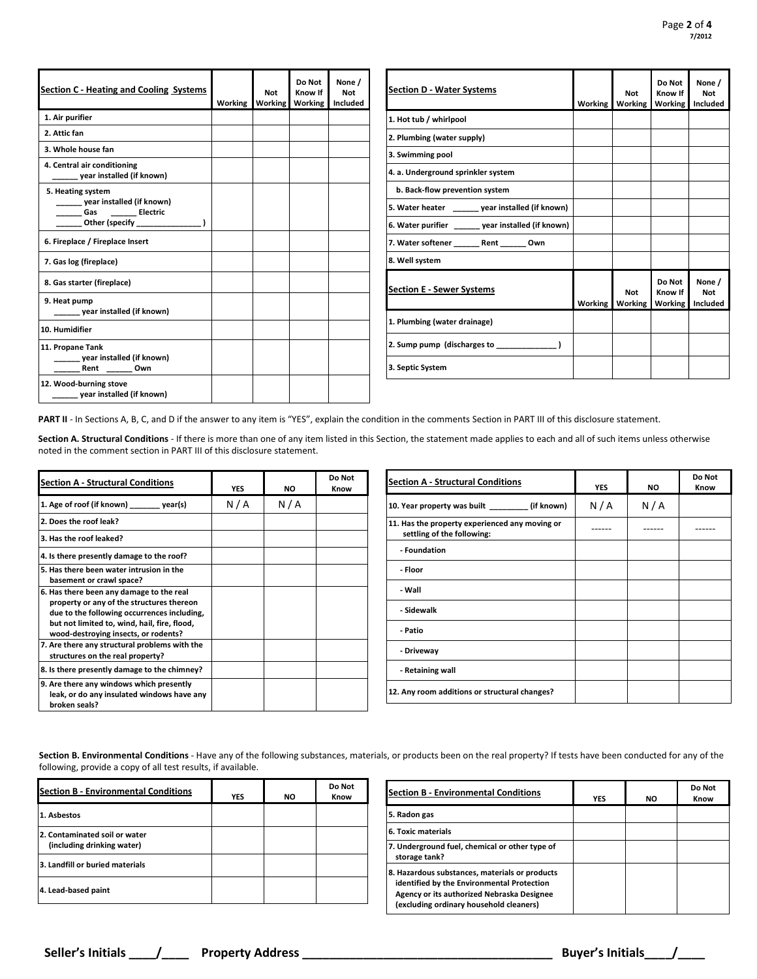| <b>Section C - Heating and Cooling Systems</b>                 | Working | <b>Not</b><br><b>Working</b> | Do Not<br>Know If<br>Working | None /<br><b>Not</b><br>Included |
|----------------------------------------------------------------|---------|------------------------------|------------------------------|----------------------------------|
| 1. Air purifier                                                |         |                              |                              |                                  |
| 2. Attic fan                                                   |         |                              |                              |                                  |
| 3. Whole house fan                                             |         |                              |                              |                                  |
| 4. Central air conditioning<br>year installed (if known)       |         |                              |                              |                                  |
| 5. Heating system<br>year installed (if known)<br>Gas Electric |         |                              |                              |                                  |
| 6. Fireplace / Fireplace Insert                                |         |                              |                              |                                  |
| 7. Gas log (fireplace)                                         |         |                              |                              |                                  |
| 8. Gas starter (fireplace)                                     |         |                              |                              |                                  |
| 9. Heat pump<br>year installed (if known)                      |         |                              |                              |                                  |
| 10. Humidifier                                                 |         |                              |                              |                                  |
| 11. Propane Tank<br>year installed (if known)<br>Rent Own      |         |                              |                              |                                  |
| 12. Wood-burning stove<br>year installed (if known)            |         |                              |                              |                                  |

| <b>Section D - Water Systems</b>                   | <b>Working</b> | <b>Not</b><br><b>Working</b> | Do Not<br>Know If<br><b>Working</b> | None /<br><b>Not</b><br>Included |
|----------------------------------------------------|----------------|------------------------------|-------------------------------------|----------------------------------|
| 1. Hot tub / whirlpool                             |                |                              |                                     |                                  |
| 2. Plumbing (water supply)                         |                |                              |                                     |                                  |
| 3. Swimming pool                                   |                |                              |                                     |                                  |
| 4. a. Underground sprinkler system                 |                |                              |                                     |                                  |
| b. Back-flow prevention system                     |                |                              |                                     |                                  |
| 5. Water heater year installed (if known)          |                |                              |                                     |                                  |
| 6. Water purifier ______ year installed (if known) |                |                              |                                     |                                  |
| 7. Water softener Rent Own                         |                |                              |                                     |                                  |
| 8. Well system                                     |                |                              |                                     |                                  |
| <b>Section E - Sewer Systems</b>                   | Working        | <b>Not</b><br>Working        | Do Not<br>Know If<br>Working        | None /<br><b>Not</b><br>Included |
| 1. Plumbing (water drainage)                       |                |                              |                                     |                                  |
| 2. Sump pump (discharges to                        |                |                              |                                     |                                  |
| 3. Septic System                                   |                |                              |                                     |                                  |

PART II - In Sections A, B, C, and D if the answer to any item is "YES", explain the condition in the comments Section in PART III of this disclosure statement.

**Section A. Structural Conditions** - If there is more than one of any item listed in this Section, the statement made applies to each and all of such items unless otherwise noted in the comment section in PART III of this disclosure statement.

| <b>Section A - Structural Conditions</b>                                                                                                                                                                                     | <b>YES</b> | NO  | Do Not<br>Know |
|------------------------------------------------------------------------------------------------------------------------------------------------------------------------------------------------------------------------------|------------|-----|----------------|
| 1. Age of roof (if known)<br>year(s)                                                                                                                                                                                         | N/A        | N/A |                |
| 2. Does the roof leak?                                                                                                                                                                                                       |            |     |                |
| 3. Has the roof leaked?                                                                                                                                                                                                      |            |     |                |
| 4. Is there presently damage to the roof?                                                                                                                                                                                    |            |     |                |
| 5. Has there been water intrusion in the<br>basement or crawl space?                                                                                                                                                         |            |     |                |
| 6. Has there been any damage to the real<br>property or any of the structures thereon<br>due to the following occurrences including,<br>but not limited to, wind, hail, fire, flood,<br>wood-destroying insects, or rodents? |            |     |                |
| 7. Are there any structural problems with the<br>structures on the real property?                                                                                                                                            |            |     |                |
| 8. Is there presently damage to the chimney?                                                                                                                                                                                 |            |     |                |
| 9. Are there any windows which presently<br>leak, or do any insulated windows have any<br>broken seals?                                                                                                                      |            |     |                |

| <b>Section A - Structural Conditions</b>                                     | <b>YES</b> | <b>NO</b> | Do Not<br>Know |
|------------------------------------------------------------------------------|------------|-----------|----------------|
| 10. Year property was built ___________(if known)                            | N/A        | N/A       |                |
| 11. Has the property experienced any moving or<br>settling of the following: |            |           |                |
| - Foundation                                                                 |            |           |                |
| - Floor                                                                      |            |           |                |
| - Wall                                                                       |            |           |                |
| - Sidewalk                                                                   |            |           |                |
| - Patio                                                                      |            |           |                |
| - Driveway                                                                   |            |           |                |
| - Retaining wall                                                             |            |           |                |
| 12. Any room additions or structural changes?                                |            |           |                |

**Section B. Environmental Conditions** - Have any of the following substances, materials, or products been on the real property? If tests have been conducted for any of the following, provide a copy of all test results, if available.

| <b>Section B - Environmental Conditions</b>                 | <b>YES</b> | <b>NO</b> | Do Not<br>Know |
|-------------------------------------------------------------|------------|-----------|----------------|
| 1. Asbestos                                                 |            |           |                |
| 2. Contaminated soil or water<br>(including drinking water) |            |           |                |
| 3. Landfill or buried materials                             |            |           |                |
| 4. Lead-based paint                                         |            |           |                |

| <b>Section B - Environmental Conditions</b>                                                                                                                                           | <b>YES</b> | <b>NO</b> | Do Not<br>Know |
|---------------------------------------------------------------------------------------------------------------------------------------------------------------------------------------|------------|-----------|----------------|
| 5. Radon gas                                                                                                                                                                          |            |           |                |
| <b>6. Toxic materials</b>                                                                                                                                                             |            |           |                |
| 7. Underground fuel, chemical or other type of<br>storage tank?                                                                                                                       |            |           |                |
| 8. Hazardous substances, materials or products<br>identified by the Environmental Protection<br>Agency or its authorized Nebraska Designee<br>(excluding ordinary household cleaners) |            |           |                |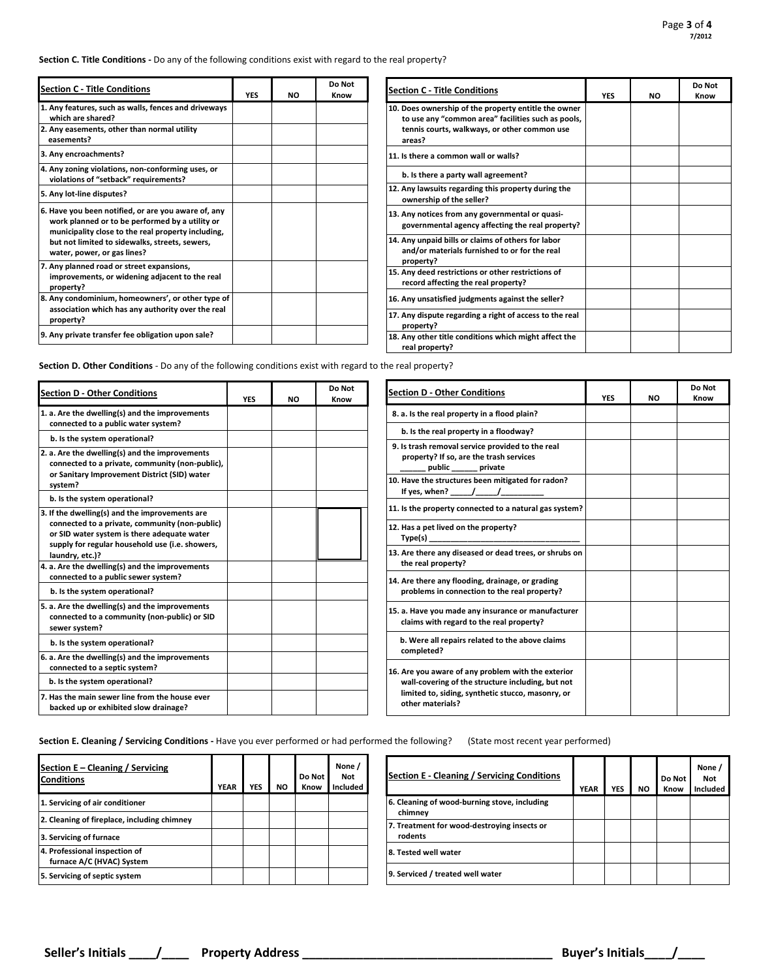**Section C. Title Conditions -** Do any of the following conditions exist with regard to the real property?

| <b>Section C - Title Conditions</b>                                                                                                                                                                                                           | <b>YES</b> | NO. | Do Not<br>Know |
|-----------------------------------------------------------------------------------------------------------------------------------------------------------------------------------------------------------------------------------------------|------------|-----|----------------|
| 1. Any features, such as walls, fences and driveways<br>which are shared?                                                                                                                                                                     |            |     |                |
| 2. Any easements, other than normal utility<br>easements?                                                                                                                                                                                     |            |     |                |
| 3. Any encroachments?                                                                                                                                                                                                                         |            |     |                |
| 4. Any zoning violations, non-conforming uses, or<br>violations of "setback" requirements?                                                                                                                                                    |            |     |                |
| 5. Any lot-line disputes?                                                                                                                                                                                                                     |            |     |                |
| 6. Have you been notified, or are you aware of, any<br>work planned or to be performed by a utility or<br>municipality close to the real property including,<br>but not limited to sidewalks, streets, sewers,<br>water, power, or gas lines? |            |     |                |
| 7. Any planned road or street expansions,<br>improvements, or widening adjacent to the real<br>property?                                                                                                                                      |            |     |                |
| 8. Any condominium, homeowners', or other type of<br>association which has any authority over the real<br>property?                                                                                                                           |            |     |                |
| 9. Any private transfer fee obligation upon sale?                                                                                                                                                                                             |            |     |                |

| <b>Section C - Title Conditions</b>                                                                                                                                  | <b>YES</b> | <b>NO</b> | Do Not<br>Know |
|----------------------------------------------------------------------------------------------------------------------------------------------------------------------|------------|-----------|----------------|
| 10. Does ownership of the property entitle the owner<br>to use any "common area" facilities such as pools,<br>tennis courts, walkways, or other common use<br>areas? |            |           |                |
| 11. Is there a common wall or walls?                                                                                                                                 |            |           |                |
| b. Is there a party wall agreement?                                                                                                                                  |            |           |                |
| 12. Any lawsuits regarding this property during the<br>ownership of the seller?                                                                                      |            |           |                |
| 13. Any notices from any governmental or quasi-<br>governmental agency affecting the real property?                                                                  |            |           |                |
| 14. Any unpaid bills or claims of others for labor<br>and/or materials furnished to or for the real<br>property?                                                     |            |           |                |
| 15. Any deed restrictions or other restrictions of<br>record affecting the real property?                                                                            |            |           |                |
| 16. Any unsatisfied judgments against the seller?                                                                                                                    |            |           |                |
| 17. Any dispute regarding a right of access to the real<br>property?                                                                                                 |            |           |                |
| 18. Any other title conditions which might affect the<br>real property?                                                                                              |            |           |                |

**Section D. Other Conditions** - Do any of the following conditions exist with regard to the real property?

| <b>Section D - Other Conditions</b>                                                                                                                                                                                   | <b>YES</b> | <b>NO</b> | Do Not<br>Know |
|-----------------------------------------------------------------------------------------------------------------------------------------------------------------------------------------------------------------------|------------|-----------|----------------|
| 1. a. Are the dwelling(s) and the improvements<br>connected to a public water system?                                                                                                                                 |            |           |                |
| b. Is the system operational?                                                                                                                                                                                         |            |           |                |
| 2. a. Are the dwelling(s) and the improvements<br>connected to a private, community (non-public),<br>or Sanitary Improvement District (SID) water<br>system?                                                          |            |           |                |
| b. Is the system operational?                                                                                                                                                                                         |            |           |                |
| 3. If the dwelling(s) and the improvements are<br>connected to a private, community (non-public)<br>or SID water system is there adequate water<br>supply for regular household use (i.e. showers,<br>laundry, etc.)? |            |           |                |
| 4. a. Are the dwelling(s) and the improvements<br>connected to a public sewer system?                                                                                                                                 |            |           |                |
| b. Is the system operational?                                                                                                                                                                                         |            |           |                |
| 5. a. Are the dwelling(s) and the improvements<br>connected to a community (non-public) or SID<br>sewer system?                                                                                                       |            |           |                |
| b. Is the system operational?                                                                                                                                                                                         |            |           |                |
| 6. a. Are the dwelling(s) and the improvements<br>connected to a septic system?                                                                                                                                       |            |           |                |
| b. Is the system operational?                                                                                                                                                                                         |            |           |                |
| 7. Has the main sewer line from the house ever<br>backed up or exhibited slow drainage?                                                                                                                               |            |           |                |

| <b>Section D - Other Conditions</b>                                                                                                                                              | <b>YES</b> | <b>NO</b> | Do Not<br>Know |
|----------------------------------------------------------------------------------------------------------------------------------------------------------------------------------|------------|-----------|----------------|
| 8. a. Is the real property in a flood plain?                                                                                                                                     |            |           |                |
| b. Is the real property in a floodway?                                                                                                                                           |            |           |                |
| 9. Is trash removal service provided to the real<br>property? If so, are the trash services<br>public _______ private                                                            |            |           |                |
| 10. Have the structures been mitigated for radon?<br>If yes, when? ______/______/_                                                                                               |            |           |                |
| 11. Is the property connected to a natural gas system?                                                                                                                           |            |           |                |
| 12. Has a pet lived on the property?<br>Type(s)                                                                                                                                  |            |           |                |
| 13. Are there any diseased or dead trees, or shrubs on<br>the real property?                                                                                                     |            |           |                |
| 14. Are there any flooding, drainage, or grading<br>problems in connection to the real property?                                                                                 |            |           |                |
| 15. a. Have you made any insurance or manufacturer<br>claims with regard to the real property?                                                                                   |            |           |                |
| b. Were all repairs related to the above claims<br>completed?                                                                                                                    |            |           |                |
| 16. Are you aware of any problem with the exterior<br>wall-covering of the structure including, but not<br>limited to, siding, synthetic stucco, masonry, or<br>other materials? |            |           |                |

**Section E. Cleaning / Servicing Conditions -** Have you ever performed or had performed the following? (State most recent year performed)

| Section E – Cleaning / Servicing<br><b>Conditions</b>      | <b>YEAR</b> | YES | <b>NO</b> | Do Not<br>Know | None /<br><b>Not</b><br>Included |
|------------------------------------------------------------|-------------|-----|-----------|----------------|----------------------------------|
| 1. Servicing of air conditioner                            |             |     |           |                |                                  |
| 2. Cleaning of fireplace, including chimney                |             |     |           |                |                                  |
| 3. Servicing of furnace                                    |             |     |           |                |                                  |
| 4. Professional inspection of<br>furnace A/C (HVAC) System |             |     |           |                |                                  |
| 5. Servicing of septic system                              |             |     |           |                |                                  |

| <b>Section E - Cleaning / Servicing Conditions</b>      | <b>YEAR</b> | <b>YES</b> | ΝO | Do Not<br>Know | None /<br>Not<br>Included |
|---------------------------------------------------------|-------------|------------|----|----------------|---------------------------|
| 6. Cleaning of wood-burning stove, including<br>chimney |             |            |    |                |                           |
| 7. Treatment for wood-destroying insects or<br>rodents  |             |            |    |                |                           |
| 8. Tested well water                                    |             |            |    |                |                           |
| 9. Serviced / treated well water                        |             |            |    |                |                           |